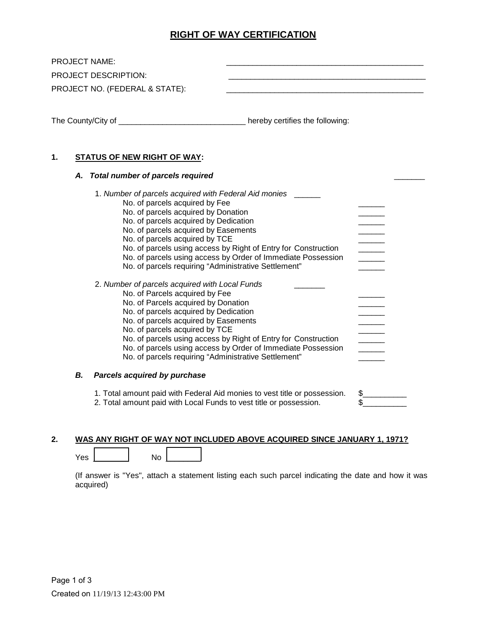## **RIGHT OF WAY CERTIFICATION**

| <b>PROJECT NAME:</b> | PROJECT DESCRIPTION:<br>PROJECT NO. (FEDERAL & STATE):                                                                                                                                                                                                                                                                                                                                                                               |           |
|----------------------|--------------------------------------------------------------------------------------------------------------------------------------------------------------------------------------------------------------------------------------------------------------------------------------------------------------------------------------------------------------------------------------------------------------------------------------|-----------|
|                      | The County/City of ________________________________hereby certifies the following:                                                                                                                                                                                                                                                                                                                                                   |           |
| 1.<br>А.             | <b>STATUS OF NEW RIGHT OF WAY:</b><br><b>Total number of parcels required</b><br>1. Number of parcels acquired with Federal Aid monies ______                                                                                                                                                                                                                                                                                        |           |
|                      | No. of parcels acquired by Fee<br>No. of parcels acquired by Donation<br>No. of parcels acquired by Dedication<br>No. of parcels acquired by Easements<br>No. of parcels acquired by TCE<br>No. of parcels using access by Right of Entry for Construction<br>No. of parcels using access by Order of Immediate Possession<br>No. of parcels requiring "Administrative Settlement"                                                   |           |
|                      | 2. Number of parcels acquired with Local Funds<br>No. of Parcels acquired by Fee<br>No. of Parcels acquired by Donation<br>No. of parcels acquired by Dedication<br>No. of parcels acquired by Easements<br>No. of parcels acquired by TCE<br>No. of parcels using access by Right of Entry for Construction<br>No. of parcels using access by Order of Immediate Possession<br>No. of parcels requiring "Administrative Settlement" |           |
| В.                   | Parcels acquired by purchase                                                                                                                                                                                                                                                                                                                                                                                                         |           |
|                      | 1. Total amount paid with Federal Aid monies to vest title or possession.<br>2. Total amount paid with Local Funds to vest title or possession.                                                                                                                                                                                                                                                                                      | \$.<br>\$ |

## **2. WAS ANY RIGHT OF WAY NOT INCLUDED ABOVE ACQUIRED SINCE JANUARY 1, 1971?**

Yes \_\_\_\_\_\_\_\_ No \_\_\_\_\_\_\_\_

(If answer is "Yes", attach a statement listing each such parcel indicating the date and how it was acquired)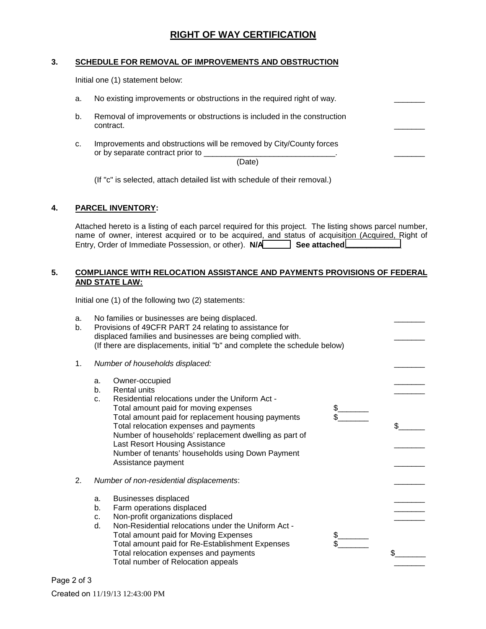## **RIGHT OF WAY CERTIFICATION**

#### **3. SCHEDULE FOR REMOVAL OF IMPROVEMENTS AND OBSTRUCTION**

Initial one (1) statement below:

- a. No existing improvements or obstructions in the required right of way.
- b. Removal of improvements or obstructions is included in the construction contract.  $\Box$ 
	- c. Improvements and obstructions will be removed by City/County forces or by separate contract prior to \_

(Date)

(If "c" is selected, attach detailed list with schedule of their removal.)

#### **4. PARCEL INVENTORY:**

Attached hereto is a listing of each parcel required for this project. The listing shows parcel number, name of owner, interest acquired or to be acquired, and status of acquisition (Acquired, Right of Entry, Order of Immediate Possession, or other). **N/A\_\_\_\_\_\_ See attached\_\_\_\_\_\_\_\_\_\_\_\_\_** 

#### **5. COMPLIANCE WITH RELOCATION ASSISTANCE AND PAYMENTS PROVISIONS OF FEDERAL AND STATE LAW:**

Initial one (1) of the following two (2) statements:

| a.<br>b. | No families or businesses are being displaced.<br>Provisions of 49CFR PART 24 relating to assistance for<br>displaced families and businesses are being complied with.<br>(If there are displacements, initial "b" and complete the schedule below)                                                                                                                                                               |     |
|----------|-------------------------------------------------------------------------------------------------------------------------------------------------------------------------------------------------------------------------------------------------------------------------------------------------------------------------------------------------------------------------------------------------------------------|-----|
| 1.       | Number of households displaced:                                                                                                                                                                                                                                                                                                                                                                                   |     |
|          | Owner-occupied<br>a.<br>Rental units<br>b.<br>Residential relocations under the Uniform Act -<br>C.<br>Total amount paid for moving expenses<br>Total amount paid for replacement housing payments<br>Total relocation expenses and payments<br>Number of households' replacement dwelling as part of<br>Last Resort Housing Assistance<br>Number of tenants' households using Down Payment<br>Assistance payment | \$. |
| 2.       | Number of non-residential displacements:                                                                                                                                                                                                                                                                                                                                                                          |     |
|          | <b>Businesses displaced</b><br>a.                                                                                                                                                                                                                                                                                                                                                                                 |     |
|          | Farm operations displaced<br>b.                                                                                                                                                                                                                                                                                                                                                                                   |     |
|          | Non-profit organizations displaced<br>c.                                                                                                                                                                                                                                                                                                                                                                          |     |
|          | Non-Residential relocations under the Uniform Act -<br>d.<br><b>Total amount paid for Moving Expenses</b><br>\$<br>Total amount paid for Re-Establishment Expenses<br>Total relocation expenses and payments<br>Total number of Relocation appeals                                                                                                                                                                | \$. |

Page 2 of 3 Created on 11/19/13 12:43:00 PM